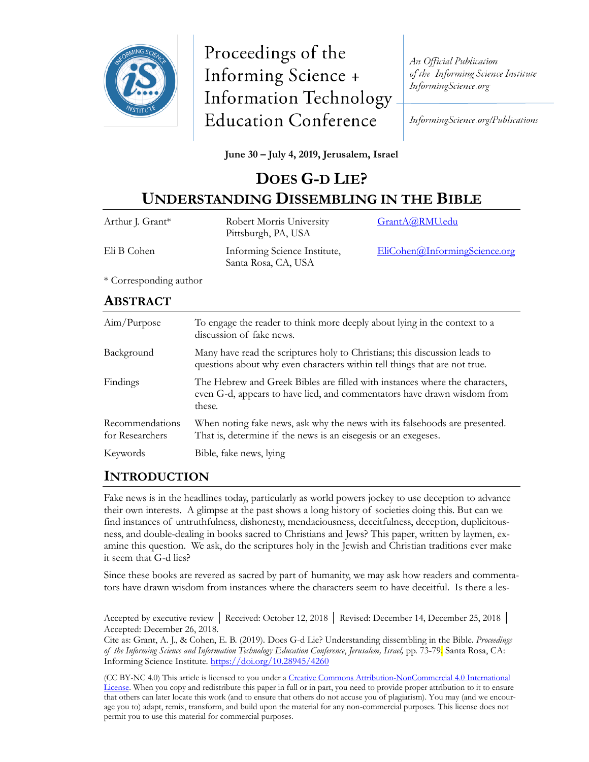

Proceedings of the Informing Science + **Information Technology Education Conference** 

An Official Publication of the Informing Science Institute InformingScience.org

InformingScience.org/Publications

#### **June 30 – July 4, 2019, Jerusalem, Israel**

# **DOES G-D LIE? UNDERSTANDING DISSEMBLING IN THE BIBLE**

| Arthur J. Grant* | Robert Morris University<br>Pittsburgh, PA, USA     | GrantA@RMU.edu                |
|------------------|-----------------------------------------------------|-------------------------------|
| Eli B Cohen      | Informing Science Institute,<br>Santa Rosa, CA, USA | EliCohen@InformingScience.org |

\* Corresponding author

### **ABSTRACT**

| Aim/Purpose                        | To engage the reader to think more deeply about lying in the context to a<br>discussion of fake news.                                                            |
|------------------------------------|------------------------------------------------------------------------------------------------------------------------------------------------------------------|
| Background                         | Many have read the scriptures holy to Christians; this discussion leads to<br>questions about why even characters within tell things that are not true.          |
| Findings                           | The Hebrew and Greek Bibles are filled with instances where the characters,<br>even G-d, appears to have lied, and commentators have drawn wisdom from<br>these. |
| Recommendations<br>for Researchers | When noting fake news, ask why the news with its falsehoods are presented.<br>That is, determine if the news is an eisegesis or an exegeses.                     |
| Keywords                           | Bible, fake news, lying                                                                                                                                          |

### **INTRODUCTION**

Fake news is in the headlines today, particularly as world powers jockey to use deception to advance their own interests. A glimpse at the past shows a long history of societies doing this. But can we find instances of untruthfulness, dishonesty, mendaciousness, deceitfulness, deception, duplicitousness, and double-dealing in books sacred to Christians and Jews? This paper, written by laymen, examine this question. We ask, do the scriptures holy in the Jewish and Christian traditions ever make it seem that G-d lies?

Since these books are revered as sacred by part of humanity, we may ask how readers and commentators have drawn wisdom from instances where the characters seem to have deceitful. Is there a les-

Accepted by executive review │ Received: October 12, 2018 │ Revised: December 14, December 25, 2018 │ Accepted: December 26, 2018.

Cite as: Grant, A. J., & Cohen, E. B. (2019). Does G-d Lie? Understanding dissembling in the Bible. *Proceedings of the Informing Science and Information Technology Education Conference*, *Jerusalem, Israel,* pp. 73-79. Santa Rosa, CA: Informing Science Institute.<https://doi.org/10.28945/4260>

(CC BY-NC 4.0) This article is licensed to you under a Creative Commons Attribution-[NonCommercial 4.0 International](https://creativecommons.org/licenses/by-nc/4.0/)  [License.](https://creativecommons.org/licenses/by-nc/4.0/) When you copy and redistribute this paper in full or in part, you need to provide proper attribution to it to ensure that others can later locate this work (and to ensure that others do not accuse you of plagiarism). You may (and we encourage you to) adapt, remix, transform, and build upon the material for any non-commercial purposes. This license does not permit you to use this material for commercial purposes.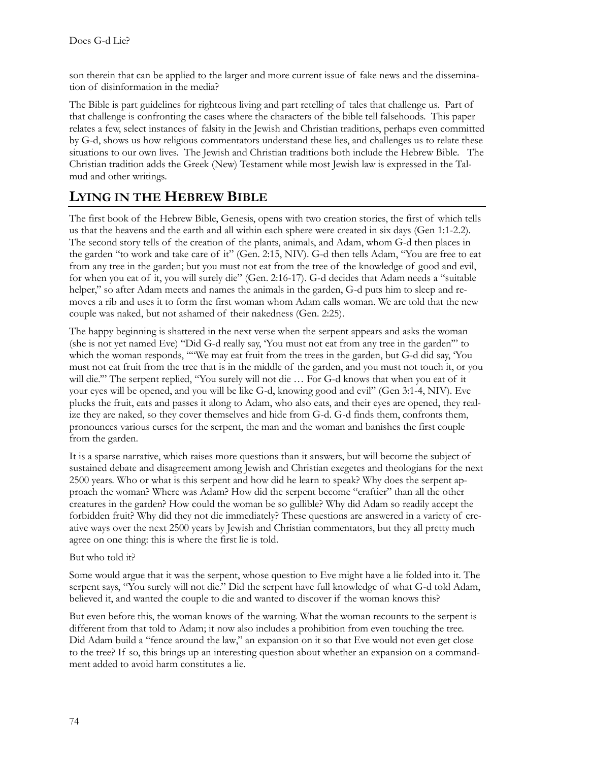son therein that can be applied to the larger and more current issue of fake news and the dissemination of disinformation in the media?

The Bible is part guidelines for righteous living and part retelling of tales that challenge us. Part of that challenge is confronting the cases where the characters of the bible tell falsehoods. This paper relates a few, select instances of falsity in the Jewish and Christian traditions, perhaps even committed by G-d, shows us how religious commentators understand these lies, and challenges us to relate these situations to our own lives. The Jewish and Christian traditions both include the Hebrew Bible. The Christian tradition adds the Greek (New) Testament while most Jewish law is expressed in the Talmud and other writings.

## **LYING IN THE HEBREW BIBLE**

The first book of the Hebrew Bible, Genesis, opens with two creation stories, the first of which tells us that the heavens and the earth and all within each sphere were created in six days (Gen 1:1-2.2). The second story tells of the creation of the plants, animals, and Adam, whom G-d then places in the garden "to work and take care of it" (Gen. 2:15, NIV). G-d then tells Adam, "You are free to eat from any tree in the garden; but you must not eat from the tree of the knowledge of good and evil, for when you eat of it, you will surely die" (Gen. 2:16-17). G-d decides that Adam needs a "suitable helper," so after Adam meets and names the animals in the garden, G-d puts him to sleep and removes a rib and uses it to form the first woman whom Adam calls woman. We are told that the new couple was naked, but not ashamed of their nakedness (Gen. 2:25).

The happy beginning is shattered in the next verse when the serpent appears and asks the woman (she is not yet named Eve) "Did G-d really say, 'You must not eat from any tree in the garden'" to which the woman responds, ""We may eat fruit from the trees in the garden, but G-d did say, 'You must not eat fruit from the tree that is in the middle of the garden, and you must not touch it, or you will die.'" The serpent replied, "You surely will not die … For G-d knows that when you eat of it your eyes will be opened, and you will be like G-d, knowing good and evil" (Gen 3:1-4, NIV). Eve plucks the fruit, eats and passes it along to Adam, who also eats, and their eyes are opened, they realize they are naked, so they cover themselves and hide from G-d. G-d finds them, confronts them, pronounces various curses for the serpent, the man and the woman and banishes the first couple from the garden.

It is a sparse narrative, which raises more questions than it answers, but will become the subject of sustained debate and disagreement among Jewish and Christian exegetes and theologians for the next 2500 years. Who or what is this serpent and how did he learn to speak? Why does the serpent approach the woman? Where was Adam? How did the serpent become "craftier" than all the other creatures in the garden? How could the woman be so gullible? Why did Adam so readily accept the forbidden fruit? Why did they not die immediately? These questions are answered in a variety of creative ways over the next 2500 years by Jewish and Christian commentators, but they all pretty much agree on one thing: this is where the first lie is told.

#### But who told it?

Some would argue that it was the serpent, whose question to Eve might have a lie folded into it. The serpent says, "You surely will not die." Did the serpent have full knowledge of what G-d told Adam, believed it, and wanted the couple to die and wanted to discover if the woman knows this?

But even before this, the woman knows of the warning. What the woman recounts to the serpent is different from that told to Adam; it now also includes a prohibition from even touching the tree. Did Adam build a "fence around the law," an expansion on it so that Eve would not even get close to the tree? If so, this brings up an interesting question about whether an expansion on a commandment added to avoid harm constitutes a lie.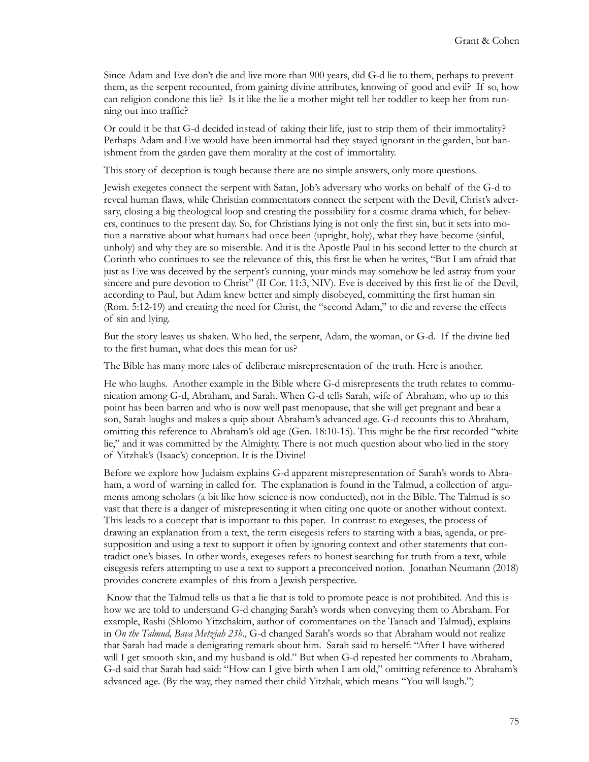Since Adam and Eve don't die and live more than 900 years, did G-d lie to them, perhaps to prevent them, as the serpent recounted, from gaining divine attributes, knowing of good and evil? If so, how can religion condone this lie? Is it like the lie a mother might tell her toddler to keep her from running out into traffic?

Or could it be that G-d decided instead of taking their life, just to strip them of their immortality? Perhaps Adam and Eve would have been immortal had they stayed ignorant in the garden, but banishment from the garden gave them morality at the cost of immortality.

This story of deception is tough because there are no simple answers, only more questions.

Jewish exegetes connect the serpent with Satan, Job's adversary who works on behalf of the G-d to reveal human flaws, while Christian commentators connect the serpent with the Devil, Christ's adversary, closing a big theological loop and creating the possibility for a cosmic drama which, for believers, continues to the present day. So, for Christians lying is not only the first sin, but it sets into motion a narrative about what humans had once been (upright, holy), what they have become (sinful, unholy) and why they are so miserable. And it is the Apostle Paul in his second letter to the church at Corinth who continues to see the relevance of this, this first lie when he writes, "But I am afraid that just as Eve was deceived by the serpent's cunning, your minds may somehow be led astray from your sincere and pure devotion to Christ" (II Cor. 11:3, NIV). Eve is deceived by this first lie of the Devil, according to Paul, but Adam knew better and simply disobeyed, committing the first human sin (Rom. 5:12-19) and creating the need for Christ, the "second Adam," to die and reverse the effects of sin and lying.

But the story leaves us shaken. Who lied, the serpent, Adam, the woman, or G-d. If the divine lied to the first human, what does this mean for us?

The Bible has many more tales of deliberate misrepresentation of the truth. Here is another.

He who laughs. Another example in the Bible where G-d misrepresents the truth relates to communication among G-d, Abraham, and Sarah. When G-d tells Sarah, wife of Abraham, who up to this point has been barren and who is now well past menopause, that she will get pregnant and bear a son, Sarah laughs and makes a quip about Abraham's advanced age. G-d recounts this to Abraham, omitting this reference to Abraham's old age (Gen. 18:10-15). This might be the first recorded "white lie," and it was committed by the Almighty. There is not much question about who lied in the story of Yitzhak's (Isaac's) conception. It is the Divine!

Before we explore how Judaism explains G-d apparent misrepresentation of Sarah's words to Abraham, a word of warning in called for. The explanation is found in the Talmud, a collection of arguments among scholars (a bit like how science is now conducted), not in the Bible. The Talmud is so vast that there is a danger of misrepresenting it when citing one quote or another without context. This leads to a concept that is important to this paper. In contrast to exegeses, the process of drawing an explanation from a text, the term eisegesis refers to starting with a bias, agenda, or presupposition and using a text to support it often by ignoring context and other statements that contradict one's biases. In other words, exegeses refers to honest searching for truth from a text, while eisegesis refers attempting to use a text to support a preconceived notion. Jonathan Neumann (2018) provides concrete examples of this from a Jewish perspective.

Know that the Talmud tells us that a lie that is told to promote peace is not prohibited. And this is how we are told to understand G-d changing Sarah's words when conveying them to Abraham. For example, Rashi (Shlomo Yitzchakim, author of commentaries on the Tanach and Talmud), explains in *On the Talmud, Bava Metziah 23b*., G-d changed Sarah's words so that Abraham would not realize that Sarah had made a denigrating remark about him. Sarah said to herself: "After I have withered will I get smooth skin, and my husband is old." But when G-d repeated her comments to Abraham, G-d said that Sarah had said: "How can I give birth when I am old," omitting reference to Abraham's advanced age. (By the way, they named their child Yitzhak, which means "You will laugh.")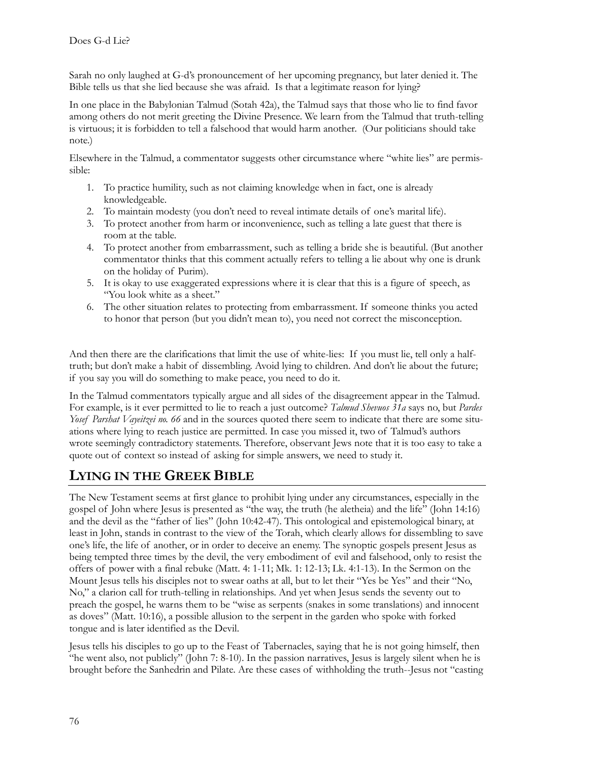Sarah no only laughed at G-d's pronouncement of her upcoming pregnancy, but later denied it. The Bible tells us that she lied because she was afraid. Is that a legitimate reason for lying?

In one place in the Babylonian Talmud (Sotah 42a), the Talmud says that those who lie to find favor among others do not merit greeting the Divine Presence. We learn from the Talmud that truth-telling is virtuous; it is forbidden to tell a falsehood that would harm another. (Our politicians should take note.)

Elsewhere in the Talmud, a commentator suggests other circumstance where "white lies" are permissible:

- 1. To practice humility, such as not claiming knowledge when in fact, one is already knowledgeable.
- 2. To maintain modesty (you don't need to reveal intimate details of one's marital life).
- 3. To protect another from harm or inconvenience, such as telling a late guest that there is room at the table.
- 4. To protect another from embarrassment, such as telling a bride she is beautiful. (But another commentator thinks that this comment actually refers to telling a lie about why one is drunk on the holiday of Purim).
- 5. It is okay to use exaggerated expressions where it is clear that this is a figure of speech, as "You look white as a sheet."
- 6. The other situation relates to protecting from embarrassment. If someone thinks you acted to honor that person (but you didn't mean to), you need not correct the misconception.

And then there are the clarifications that limit the use of white-lies: If you must lie, tell only a halftruth; but don't make a habit of dissembling. Avoid lying to children. And don't lie about the future; if you say you will do something to make peace, you need to do it.

In the Talmud commentators typically argue and all sides of the disagreement appear in the Talmud. For example, is it ever permitted to lie to reach a just outcome? *Talmud Shevuos 31a* says no, but *Pardes Yosef Parshat Vayeitzei no. 66* and in the sources quoted there seem to indicate that there are some situations where lying to reach justice are permitted. In case you missed it, two of Talmud's authors wrote seemingly contradictory statements. Therefore, observant Jews note that it is too easy to take a quote out of context so instead of asking for simple answers, we need to study it.

# **LYING IN THE GREEK BIBLE**

The New Testament seems at first glance to prohibit lying under any circumstances, especially in the gospel of John where Jesus is presented as "the way, the truth (he aletheia) and the life" (John 14:16) and the devil as the "father of lies" (John 10:42-47). This ontological and epistemological binary, at least in John, stands in contrast to the view of the Torah, which clearly allows for dissembling to save one's life, the life of another, or in order to deceive an enemy. The synoptic gospels present Jesus as being tempted three times by the devil, the very embodiment of evil and falsehood, only to resist the offers of power with a final rebuke (Matt. 4: 1-11; Mk. 1: 12-13; Lk. 4:1-13). In the Sermon on the Mount Jesus tells his disciples not to swear oaths at all, but to let their "Yes be Yes" and their "No, No," a clarion call for truth-telling in relationships. And yet when Jesus sends the seventy out to preach the gospel, he warns them to be "wise as serpents (snakes in some translations) and innocent as doves" (Matt. 10:16), a possible allusion to the serpent in the garden who spoke with forked tongue and is later identified as the Devil.

Jesus tells his disciples to go up to the Feast of Tabernacles, saying that he is not going himself, then "he went also, not publicly" (John 7: 8-10). In the passion narratives, Jesus is largely silent when he is brought before the Sanhedrin and Pilate. Are these cases of withholding the truth--Jesus not "casting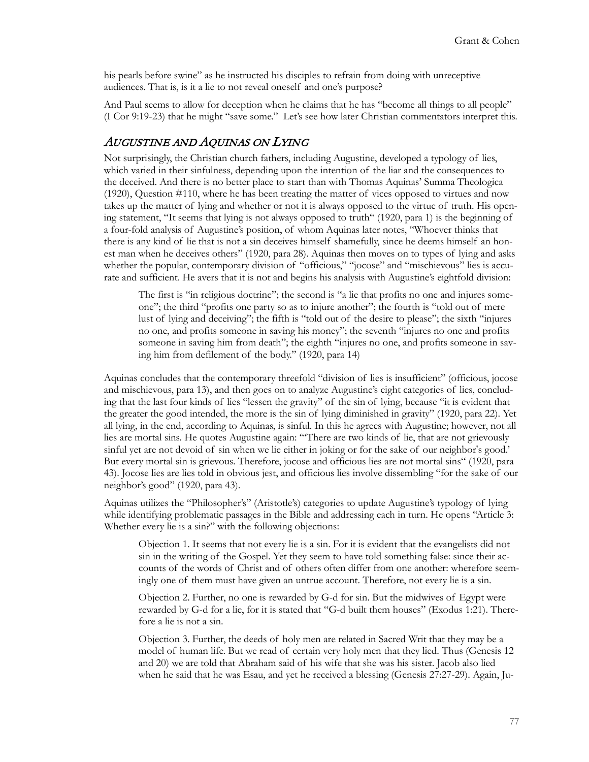his pearls before swine" as he instructed his disciples to refrain from doing with unreceptive audiences. That is, is it a lie to not reveal oneself and one's purpose?

And Paul seems to allow for deception when he claims that he has "become all things to all people" (I Cor 9:19-23) that he might "save some." Let's see how later Christian commentators interpret this.

#### AUGUSTINE AND AQUINAS ON LYING

Not surprisingly, the Christian church fathers, including Augustine, developed a typology of lies, which varied in their sinfulness, depending upon the intention of the liar and the consequences to the deceived. And there is no better place to start than with Thomas Aquinas' Summa Theologica (1920), Question #110, where he has been treating the matter of vices opposed to virtues and now takes up the matter of lying and whether or not it is always opposed to the virtue of truth. His opening statement, "It seems that lying is not always opposed to [truth](http://www.newadvent.org/cathen/15073a.htm)" (1920, para 1) is the beginning of a four-fold analysis of Augustine's position, of whom Aquinas later notes, "Whoever thinks that there is any kind of lie that is not a [sin](http://www.newadvent.org/cathen/14004b.htm) deceives himself shamefully, since he deems himself an honest [man](http://www.newadvent.org/cathen/09580c.htm) when he deceives others" (1920, para 28). Aquinas then moves on to types of lying and asks whether the popular, contemporary division of "officious," "jocose" and "mischievous" lies is accurate and sufficient. He avers that it is not and begins his analysis with Augustine's eightfold division:

The first is "in religious doctrine"; the second is "a lie that profits no one and injures someone"; the third "profits one party so as to injure another"; the fourth is "told out of mere [lust](http://www.newadvent.org/cathen/09438a.htm) of lying and deceiving"; the fifth is "told out of the desire to please"; the sixth "injures no one, and profits someone in saving his money"; the seventh "injures no one and profits someone in saving him from death"; the eighth "injures no one, and profits someone in saving him from defilement of the body." (1920, para 14)

Aquinas concludes that the contemporary threefold "division of lies is insufficient" (officious, jocose and mischievous, para 13), and then goes on to analyze Augustine's eight categories of lies, concluding that the last four kinds of lies "lessen the gravity" of the sin of lying, because "it is evident that the greater the [good](http://www.newadvent.org/cathen/06636b.htm) intended, the more is the [sin](http://www.newadvent.org/cathen/14004b.htm) of lying diminished in gravity" (1920, para 22). Yet all lying, in the end, according to Aquinas, is sinful. In this he agrees with Augustine; however, not all lies are mortal sins. He quotes Augustine again: "'There are two kinds of lie, that are not grievously [sinful](http://www.newadvent.org/cathen/14004b.htm) yet are not devoid of [sin](http://www.newadvent.org/cathen/14004b.htm) when we lie either in joking or for the sake of our neighbor's [good.'](http://www.newadvent.org/cathen/06636b.htm) But every mortal [sin](http://www.newadvent.org/cathen/14004b.htm) is grievous. Therefore, jocose and officious lies are not mortal [sins](http://www.newadvent.org/cathen/14004b.htm)" (1920, para 43). Jocose lies are lies told in obvious jest, and officious lies involve dissembling "for the sake of our neighbor's good" (1920, para 43).

Aquinas utilizes the "Philosopher's" (Aristotle's) categories to update Augustine's typology of lying while identifying problematic passages in the Bible and addressing each in turn. He opens "Article 3: Whether every lie is a sin?" with the following objections:

Objection 1. It seems that not every lie is a [sin.](http://www.newadvent.org/cathen/14004b.htm) For it is evident that the evangelists did not [sin](http://www.newadvent.org/cathen/14004b.htm) in the writing of the Gospel. Yet they seem to have told something [false:](http://www.newadvent.org/cathen/05781a.htm) since their accounts of the words of [Christ](http://www.newadvent.org/cathen/08374c.htm) and of others often differ from one another: wherefore seemingly one of them must have given an [untrue](http://www.newadvent.org/cathen/05781a.htm) account. Therefore, not every lie is a si[n.](http://www.newadvent.org/cathen/14004b.htm)

Objection 2. Further, no one is rewarded by [G-d](http://www.newadvent.org/cathen/06608a.htm) for [sin.](http://www.newadvent.org/cathen/14004b.htm) But the midwives of [Egypt](http://www.newadvent.org/cathen/05329b.htm) were rewarded by [G-d](http://www.newadvent.org/cathen/06608a.htm) for a [lie,](http://www.newadvent.org/cathen/09469a.htm) for it is stated that ["G-d](http://www.newadvent.org/cathen/06608a.htm) built them houses" ([Exodus 1:21\)](http://www.newadvent.org/bible/exo001.htm#verse21). Therefore a [lie](http://www.newadvent.org/cathen/09469a.htm) is not a [sin](http://www.newadvent.org/cathen/14004b.htm).

Objection 3. Further, the [deeds](http://www.newadvent.org/cathen/01115a.htm) of [holy](http://www.newadvent.org/cathen/07386a.htm) men are related in Sacred Writ that they may be a model of [human](http://www.newadvent.org/cathen/09580c.htm) life. But we read of certain very [holy](http://www.newadvent.org/cathen/07386a.htm) men that they lied. Thus [\(Genesis 12](http://www.newadvent.org/bible/gen012.htm) and [20](http://www.newadvent.org/bible/gen020.htm)) we are told that [Abraham](http://www.newadvent.org/cathen/01051a.htm) said of his wife that she was his sister. [Jacob](http://www.newadvent.org/cathen/08261a.htm) also lied when he said that he was [Esau,](http://www.newadvent.org/cathen/05527c.htm) and yet he received a [blessing](http://www.newadvent.org/cathen/02599b.htm) ([Genesis 27:27](http://www.newadvent.org/bible/gen027.htm#verse27)-29). Again, Ju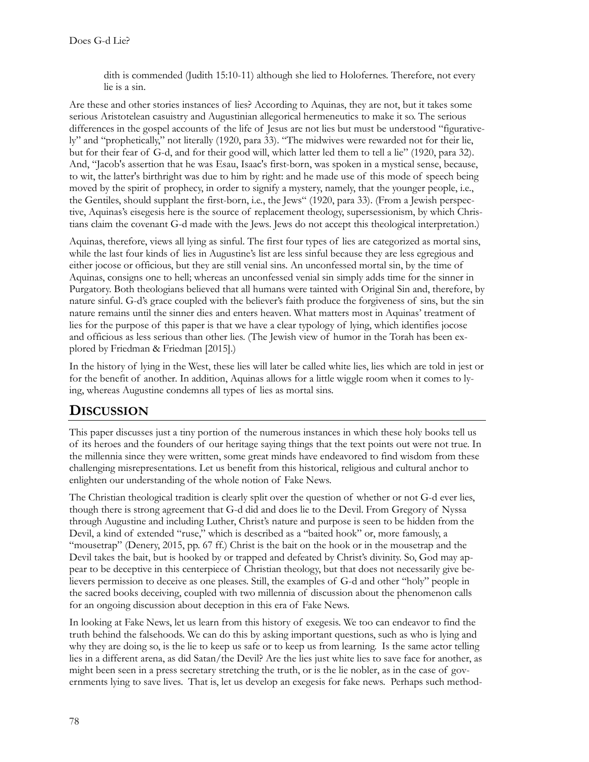dith is commended [\(Judith 15:10](http://www.newadvent.org/bible/jth015.htm#verse10)-11) although she lied to Holofernes. Therefore, not every lie is a [sin](http://www.newadvent.org/cathen/14004b.htm).

Are these and other stories instances of lies? According to Aquinas, they are not, but it takes some serious Aristotelean casuistry and Augustinian allegorical hermeneutics to make it so. The serious differences in the gospel accounts of the life of Jesus are not lies but must be understood "figuratively" and "prophetically," not literally (1920, para 33). "The midwives were rewarded not for their lie, but for their fear of G-d, and for their good will, which latter led them to tell a lie" (1920, para 32). And, "[Jacob's](http://www.newadvent.org/cathen/08261a.htm) assertion that he was [Esau](http://www.newadvent.org/cathen/05527c.htm), [Isaac's](http://www.newadvent.org/cathen/08175a.htm) first-[born,](http://www.newadvent.org/cathen/06081a.htm) was spoken in a mystical sense, because, to wit, the latter's birthright was due to him by right: and he made use of this mode of speech being moved by the spirit of [prophecy,](http://www.newadvent.org/cathen/12473a.htm) in order to signify a [mystery,](http://www.newadvent.org/cathen/10662a.htm) namely, that the younger people, i.e., the [Gentiles,](http://www.newadvent.org/cathen/06422a.htm) should supplant the first-[born](http://www.newadvent.org/cathen/06081a.htm), i.e., the [Jews](http://www.newadvent.org/cathen/08386a.htm)" (1920, para 33). (From a Jewish perspective, Aquinas's eisegesis here is the source of replacement theology, supersessionism, by which Christians claim the covenant G-d made with the Jews. Jews do not accept this theological interpretation.)

Aquinas, therefore, views all lying as sinful. The first four types of lies are categorized as mortal sins, while the last four kinds of lies in Augustine's list are less sinful because they are less egregious and either jocose or officious, but they are still venial sins. An unconfessed mortal sin, by the time of Aquinas, consigns one to hell; whereas an unconfessed venial sin simply adds time for the sinner in Purgatory. Both theologians believed that all humans were tainted with Original Sin and, therefore, by nature sinful. G-d's grace coupled with the believer's faith produce the forgiveness of sins, but the sin nature remains until the sinner dies and enters heaven. What matters most in Aquinas' treatment of lies for the purpose of this paper is that we have a clear typology of lying, which identifies jocose and officious as less serious than other lies. (The Jewish view of humor in the Torah has been explored by Friedman & Friedman [2015].)

In the history of lying in the West, these lies will later be called white lies, lies which are told in jest or for the benefit of another. In addition, Aquinas allows for a little wiggle room when it comes to lying, whereas Augustine condemns all types of lies as mortal sins.

### **DISCUSSION**

This paper discusses just a tiny portion of the numerous instances in which these holy books tell us of its heroes and the founders of our heritage saying things that the text points out were not true. In the millennia since they were written, some great minds have endeavored to find wisdom from these challenging misrepresentations. Let us benefit from this historical, religious and cultural anchor to enlighten our understanding of the whole notion of Fake News.

The Christian theological tradition is clearly split over the question of whether or not G-d ever lies, though there is strong agreement that G-d did and does lie to the Devil. From Gregory of Nyssa through Augustine and including Luther, Christ's nature and purpose is seen to be hidden from the Devil, a kind of extended "ruse," which is described as a "baited hook" or, more famously, a "mousetrap" (Denery, 2015, pp. 67 ff.) Christ is the bait on the hook or in the mousetrap and the Devil takes the bait, but is hooked by or trapped and defeated by Christ's divinity. So, God may appear to be deceptive in this centerpiece of Christian theology, but that does not necessarily give believers permission to deceive as one pleases. Still, the examples of G-d and other "holy" people in the sacred books deceiving, coupled with two millennia of discussion about the phenomenon calls for an ongoing discussion about deception in this era of Fake News.

In looking at Fake News, let us learn from this history of exegesis. We too can endeavor to find the truth behind the falsehoods. We can do this by asking important questions, such as who is lying and why they are doing so, is the lie to keep us safe or to keep us from learning. Is the same actor telling lies in a different arena, as did Satan/the Devil? Are the lies just white lies to save face for another, as might been seen in a press secretary stretching the truth, or is the lie nobler, as in the case of governments lying to save lives. That is, let us develop an exegesis for fake news. Perhaps such method